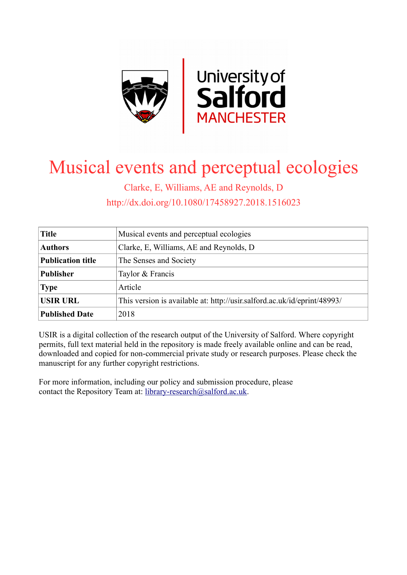

# Musical events and perceptual ecologies

Clarke, E, Williams, AE and Reynolds, D http://dx.doi.org/10.1080/17458927.2018.1516023

| <b>Title</b>             | Musical events and perceptual ecologies                                  |
|--------------------------|--------------------------------------------------------------------------|
| <b>Authors</b>           | Clarke, E, Williams, AE and Reynolds, D                                  |
| <b>Publication title</b> | The Senses and Society                                                   |
| <b>Publisher</b>         | Taylor & Francis                                                         |
| <b>Type</b>              | Article                                                                  |
| <b>USIR URL</b>          | This version is available at: http://usir.salford.ac.uk/id/eprint/48993/ |
| <b>Published Date</b>    | 2018                                                                     |

USIR is a digital collection of the research output of the University of Salford. Where copyright permits, full text material held in the repository is made freely available online and can be read, downloaded and copied for non-commercial private study or research purposes. Please check the manuscript for any further copyright restrictions.

For more information, including our policy and submission procedure, please contact the Repository Team at: [library-research@salford.ac.uk.](mailto:library-research@salford.ac.uk)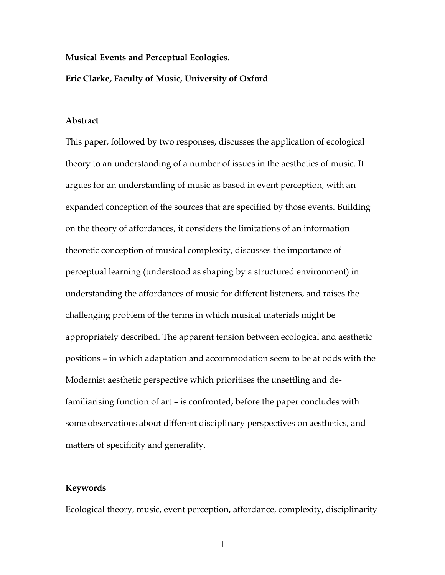#### **Musical Events and Perceptual Ecologies.**

#### **Eric Clarke, Faculty of Music, University of Oxford**

#### **Abstract**

This paper, followed by two responses, discusses the application of ecological theory to an understanding of a number of issues in the aesthetics of music. It argues for an understanding of music as based in event perception, with an expanded conception of the sources that are specified by those events. Building on the theory of affordances, it considers the limitations of an information theoretic conception of musical complexity, discusses the importance of perceptual learning (understood as shaping by a structured environment) in understanding the affordances of music for different listeners, and raises the challenging problem of the terms in which musical materials might be appropriately described. The apparent tension between ecological and aesthetic positions – in which adaptation and accommodation seem to be at odds with the Modernist aesthetic perspective which prioritises the unsettling and defamiliarising function of art – is confronted, before the paper concludes with some observations about different disciplinary perspectives on aesthetics, and matters of specificity and generality.

#### **Keywords**

Ecological theory, music, event perception, affordance, complexity, disciplinarity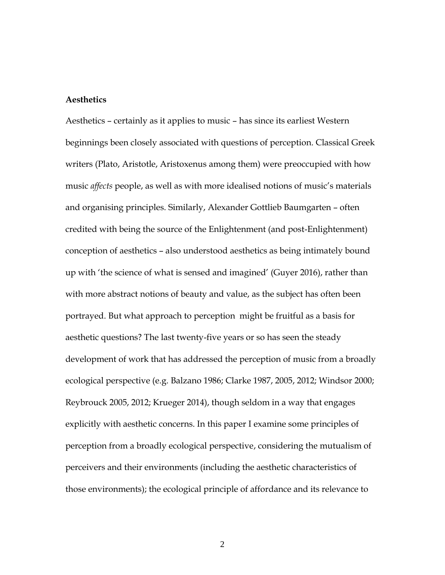#### **Aesthetics**

Aesthetics – certainly as it applies to music – has since its earliest Western beginnings been closely associated with questions of perception. Classical Greek writers (Plato, Aristotle, Aristoxenus among them) were preoccupied with how music *affects* people, as well as with more idealised notions of music's materials and organising principles. Similarly, Alexander Gottlieb Baumgarten – often credited with being the source of the Enlightenment (and post-Enlightenment) conception of aesthetics – also understood aesthetics as being intimately bound up with 'the science of what is sensed and imagined' (Guyer 2016), rather than with more abstract notions of beauty and value, as the subject has often been portrayed. But what approach to perception might be fruitful as a basis for aesthetic questions? The last twenty-five years or so has seen the steady development of work that has addressed the perception of music from a broadly ecological perspective (e.g. Balzano 1986; Clarke 1987, 2005, 2012; Windsor 2000; Reybrouck 2005, 2012; Krueger 2014), though seldom in a way that engages explicitly with aesthetic concerns. In this paper I examine some principles of perception from a broadly ecological perspective, considering the mutualism of perceivers and their environments (including the aesthetic characteristics of those environments); the ecological principle of affordance and its relevance to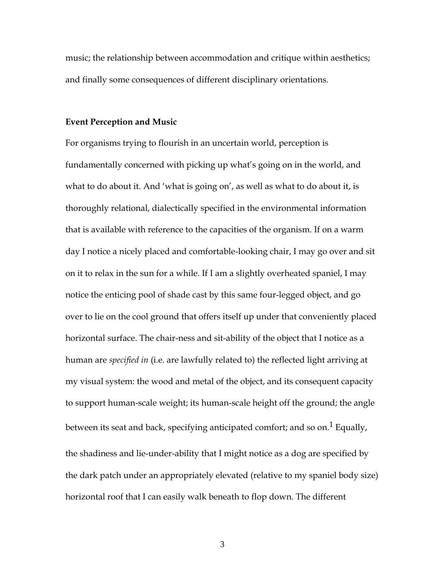music; the relationship between accommodation and critique within aesthetics; and finally some consequences of different disciplinary orientations.

#### **Event Perception and Music**

For organisms trying to flourish in an uncertain world, perception is fundamentally concerned with picking up what's going on in the world, and what to do about it. And 'what is going on', as well as what to do about it, is thoroughly relational, dialectically specified in the environmental information that is available with reference to the capacities of the organism. If on a warm day I notice a nicely placed and comfortable-looking chair, I may go over and sit on it to relax in the sun for a while. If I am a slightly overheated spaniel, I may notice the enticing pool of shade cast by this same four-legged object, and go over to lie on the cool ground that offers itself up under that conveniently placed horizontal surface. The chair-ness and sit-ability of the object that I notice as a human are *specified in* (i.e. are lawfully related to) the reflected light arriving at my visual system: the wood and metal of the object, and its consequent capacity to support human-scale weight; its human-scale height off the ground; the angle between its seat and back, specifying anticipated comfort; and so on.<sup>1</sup> Equally, the shadiness and lie-under-ability that I might notice as a dog are specified by the dark patch under an appropriately elevated (relative to my spaniel body size) horizontal roof that I can easily walk beneath to flop down. The different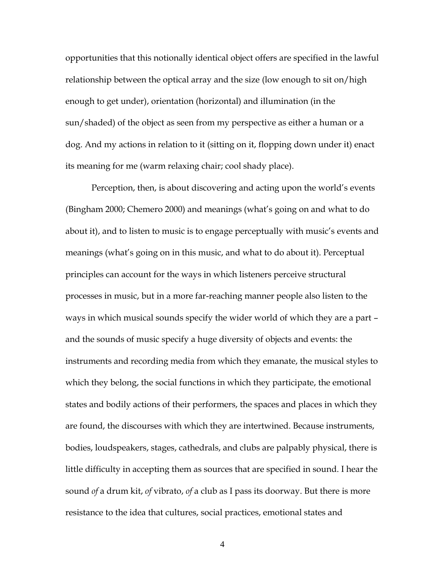opportunities that this notionally identical object offers are specified in the lawful relationship between the optical array and the size (low enough to sit on/high enough to get under), orientation (horizontal) and illumination (in the sun/shaded) of the object as seen from my perspective as either a human or a dog. And my actions in relation to it (sitting on it, flopping down under it) enact its meaning for me (warm relaxing chair; cool shady place).

Perception, then, is about discovering and acting upon the world's events (Bingham 2000; Chemero 2000) and meanings (what's going on and what to do about it), and to listen to music is to engage perceptually with music's events and meanings (what's going on in this music, and what to do about it). Perceptual principles can account for the ways in which listeners perceive structural processes in music, but in a more far-reaching manner people also listen to the ways in which musical sounds specify the wider world of which they are a part – and the sounds of music specify a huge diversity of objects and events: the instruments and recording media from which they emanate, the musical styles to which they belong, the social functions in which they participate, the emotional states and bodily actions of their performers, the spaces and places in which they are found, the discourses with which they are intertwined. Because instruments, bodies, loudspeakers, stages, cathedrals, and clubs are palpably physical, there is little difficulty in accepting them as sources that are specified in sound. I hear the sound *of* a drum kit, *of* vibrato, *of* a club as I pass its doorway. But there is more resistance to the idea that cultures, social practices, emotional states and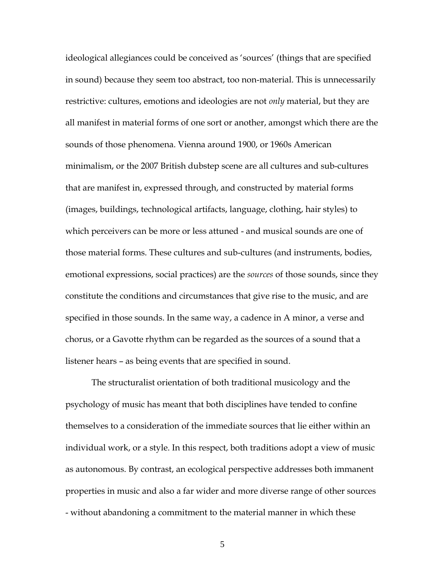ideological allegiances could be conceived as 'sources' (things that are specified in sound) because they seem too abstract, too non-material. This is unnecessarily restrictive: cultures, emotions and ideologies are not *only* material, but they are all manifest in material forms of one sort or another, amongst which there are the sounds of those phenomena. Vienna around 1900, or 1960s American minimalism, or the 2007 British dubstep scene are all cultures and sub-cultures that are manifest in, expressed through, and constructed by material forms (images, buildings, technological artifacts, language, clothing, hair styles) to which perceivers can be more or less attuned - and musical sounds are one of those material forms. These cultures and sub-cultures (and instruments, bodies, emotional expressions, social practices) are the *sources* of those sounds, since they constitute the conditions and circumstances that give rise to the music, and are specified in those sounds. In the same way, a cadence in A minor, a verse and chorus, or a Gavotte rhythm can be regarded as the sources of a sound that a listener hears – as being events that are specified in sound.

The structuralist orientation of both traditional musicology and the psychology of music has meant that both disciplines have tended to confine themselves to a consideration of the immediate sources that lie either within an individual work, or a style. In this respect, both traditions adopt a view of music as autonomous. By contrast, an ecological perspective addresses both immanent properties in music and also a far wider and more diverse range of other sources - without abandoning a commitment to the material manner in which these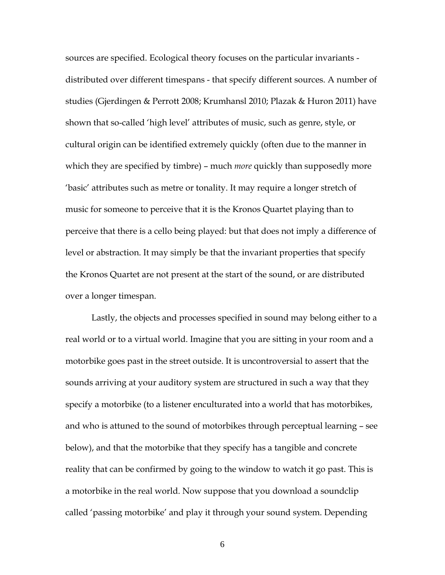sources are specified. Ecological theory focuses on the particular invariants distributed over different timespans - that specify different sources. A number of studies (Gjerdingen & Perrott 2008; Krumhansl 2010; Plazak & Huron 2011) have shown that so-called 'high level' attributes of music, such as genre, style, or cultural origin can be identified extremely quickly (often due to the manner in which they are specified by timbre) – much *more* quickly than supposedly more 'basic' attributes such as metre or tonality. It may require a longer stretch of music for someone to perceive that it is the Kronos Quartet playing than to perceive that there is a cello being played: but that does not imply a difference of level or abstraction. It may simply be that the invariant properties that specify the Kronos Quartet are not present at the start of the sound, or are distributed over a longer timespan.

Lastly, the objects and processes specified in sound may belong either to a real world or to a virtual world. Imagine that you are sitting in your room and a motorbike goes past in the street outside. It is uncontroversial to assert that the sounds arriving at your auditory system are structured in such a way that they specify a motorbike (to a listener enculturated into a world that has motorbikes, and who is attuned to the sound of motorbikes through perceptual learning – see below), and that the motorbike that they specify has a tangible and concrete reality that can be confirmed by going to the window to watch it go past. This is a motorbike in the real world. Now suppose that you download a soundclip called 'passing motorbike' and play it through your sound system. Depending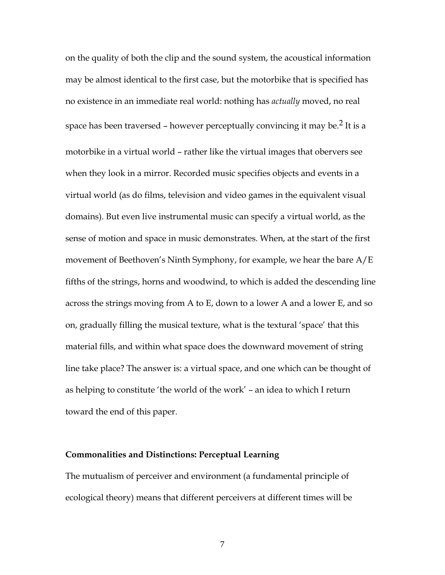on the quality of both the clip and the sound system, the acoustical information may be almost identical to the first case, but the motorbike that is specified has no existence in an immediate real world: nothing has *actually* moved, no real space has been traversed – however perceptually convincing it may be.<sup>2</sup> It is a motorbike in a virtual world – rather like the virtual images that obervers see when they look in a mirror. Recorded music specifies objects and events in a virtual world (as do films, television and video games in the equivalent visual domains). But even live instrumental music can specify a virtual world, as the sense of motion and space in music demonstrates. When, at the start of the first movement of Beethoven's Ninth Symphony, for example, we hear the bare A/E fifths of the strings, horns and woodwind, to which is added the descending line across the strings moving from A to E, down to a lower A and a lower E, and so on, gradually filling the musical texture, what is the textural 'space' that this material fills, and within what space does the downward movement of string line take place? The answer is: a virtual space, and one which can be thought of as helping to constitute 'the world of the work' – an idea to which I return toward the end of this paper.

#### **Commonalities and Distinctions: Perceptual Learning**

The mutualism of perceiver and environment (a fundamental principle of ecological theory) means that different perceivers at different times will be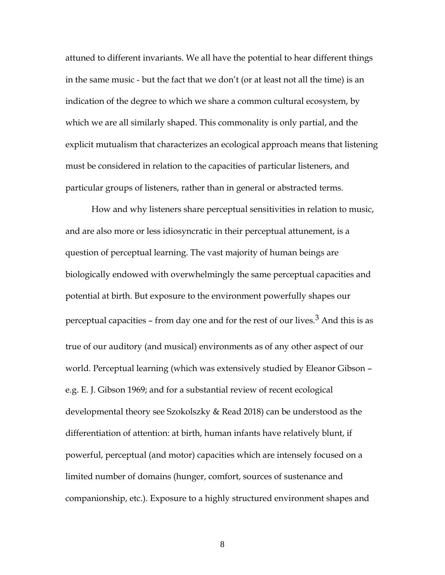attuned to different invariants. We all have the potential to hear different things in the same music - but the fact that we don't (or at least not all the time) is an indication of the degree to which we share a common cultural ecosystem, by which we are all similarly shaped. This commonality is only partial, and the explicit mutualism that characterizes an ecological approach means that listening must be considered in relation to the capacities of particular listeners, and particular groups of listeners, rather than in general or abstracted terms.

How and why listeners share perceptual sensitivities in relation to music, and are also more or less idiosyncratic in their perceptual attunement, is a question of perceptual learning. The vast majority of human beings are biologically endowed with overwhelmingly the same perceptual capacities and potential at birth. But exposure to the environment powerfully shapes our perceptual capacities – from day one and for the rest of our lives. $3$  And this is as true of our auditory (and musical) environments as of any other aspect of our world. Perceptual learning (which was extensively studied by Eleanor Gibson – e.g. E. J. Gibson 1969; and for a substantial review of recent ecological developmental theory see Szokolszky & Read 2018) can be understood as the differentiation of attention: at birth, human infants have relatively blunt, if powerful, perceptual (and motor) capacities which are intensely focused on a limited number of domains (hunger, comfort, sources of sustenance and companionship, etc.). Exposure to a highly structured environment shapes and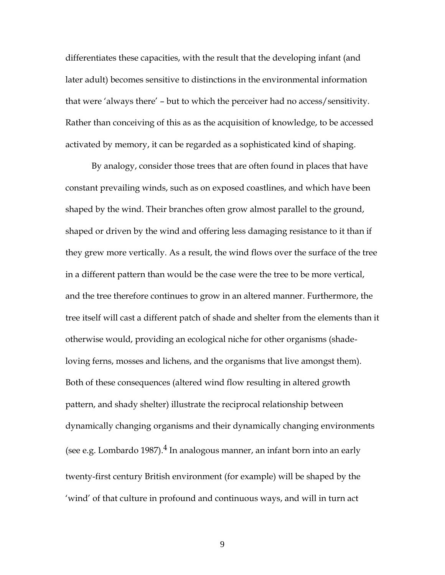differentiates these capacities, with the result that the developing infant (and later adult) becomes sensitive to distinctions in the environmental information that were 'always there' – but to which the perceiver had no access/sensitivity. Rather than conceiving of this as as the acquisition of knowledge, to be accessed activated by memory, it can be regarded as a sophisticated kind of shaping.

By analogy, consider those trees that are often found in places that have constant prevailing winds, such as on exposed coastlines, and which have been shaped by the wind. Their branches often grow almost parallel to the ground, shaped or driven by the wind and offering less damaging resistance to it than if they grew more vertically. As a result, the wind flows over the surface of the tree in a different pattern than would be the case were the tree to be more vertical, and the tree therefore continues to grow in an altered manner. Furthermore, the tree itself will cast a different patch of shade and shelter from the elements than it otherwise would, providing an ecological niche for other organisms (shadeloving ferns, mosses and lichens, and the organisms that live amongst them). Both of these consequences (altered wind flow resulting in altered growth pattern, and shady shelter) illustrate the reciprocal relationship between dynamically changing organisms and their dynamically changing environments (see e.g. Lombardo 1987). $4$  In analogous manner, an infant born into an early twenty-first century British environment (for example) will be shaped by the 'wind' of that culture in profound and continuous ways, and will in turn act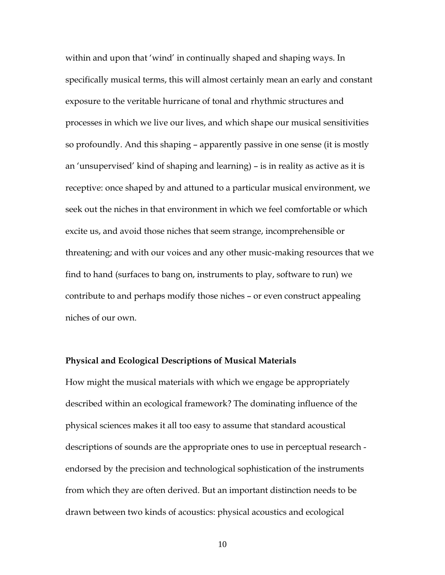within and upon that 'wind' in continually shaped and shaping ways. In specifically musical terms, this will almost certainly mean an early and constant exposure to the veritable hurricane of tonal and rhythmic structures and processes in which we live our lives, and which shape our musical sensitivities so profoundly. And this shaping – apparently passive in one sense (it is mostly an 'unsupervised' kind of shaping and learning) – is in reality as active as it is receptive: once shaped by and attuned to a particular musical environment, we seek out the niches in that environment in which we feel comfortable or which excite us, and avoid those niches that seem strange, incomprehensible or threatening; and with our voices and any other music-making resources that we find to hand (surfaces to bang on, instruments to play, software to run) we contribute to and perhaps modify those niches – or even construct appealing niches of our own.

#### **Physical and Ecological Descriptions of Musical Materials**

How might the musical materials with which we engage be appropriately described within an ecological framework? The dominating influence of the physical sciences makes it all too easy to assume that standard acoustical descriptions of sounds are the appropriate ones to use in perceptual research endorsed by the precision and technological sophistication of the instruments from which they are often derived. But an important distinction needs to be drawn between two kinds of acoustics: physical acoustics and ecological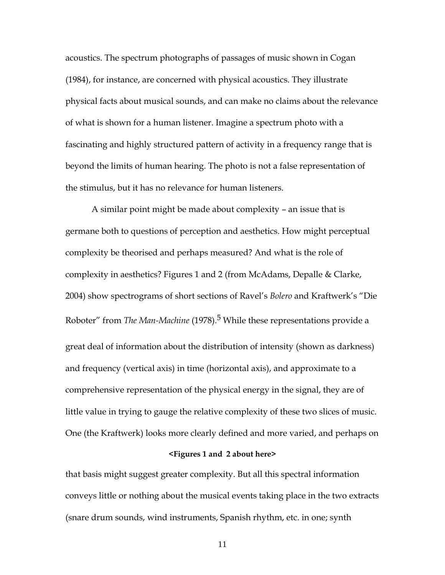acoustics. The spectrum photographs of passages of music shown in Cogan (1984), for instance, are concerned with physical acoustics. They illustrate physical facts about musical sounds, and can make no claims about the relevance of what is shown for a human listener. Imagine a spectrum photo with a fascinating and highly structured pattern of activity in a frequency range that is beyond the limits of human hearing. The photo is not a false representation of the stimulus, but it has no relevance for human listeners.

A similar point might be made about complexity – an issue that is germane both to questions of perception and aesthetics. How might perceptual complexity be theorised and perhaps measured? And what is the role of complexity in aesthetics? Figures 1 and 2 (from McAdams, Depalle & Clarke, 2004) show spectrograms of short sections of Ravel's *Bolero* and Kraftwerk's "Die Roboter" from *The Man-Machine* (1978).<sup>5</sup> While these representations provide a great deal of information about the distribution of intensity (shown as darkness) and frequency (vertical axis) in time (horizontal axis), and approximate to a comprehensive representation of the physical energy in the signal, they are of little value in trying to gauge the relative complexity of these two slices of music. One (the Kraftwerk) looks more clearly defined and more varied, and perhaps on

#### **<Figures 1 and 2 about here>**

that basis might suggest greater complexity. But all this spectral information conveys little or nothing about the musical events taking place in the two extracts (snare drum sounds, wind instruments, Spanish rhythm, etc. in one; synth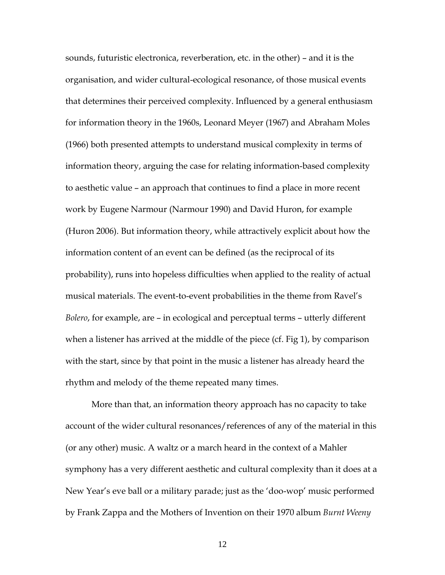sounds, futuristic electronica, reverberation, etc. in the other) – and it is the organisation, and wider cultural-ecological resonance, of those musical events that determines their perceived complexity. Influenced by a general enthusiasm for information theory in the 1960s, Leonard Meyer (1967) and Abraham Moles (1966) both presented attempts to understand musical complexity in terms of information theory, arguing the case for relating information-based complexity to aesthetic value – an approach that continues to find a place in more recent work by Eugene Narmour (Narmour 1990) and David Huron, for example (Huron 2006). But information theory, while attractively explicit about how the information content of an event can be defined (as the reciprocal of its probability), runs into hopeless difficulties when applied to the reality of actual musical materials. The event-to-event probabilities in the theme from Ravel's *Bolero*, for example, are – in ecological and perceptual terms – utterly different when a listener has arrived at the middle of the piece (cf. Fig 1), by comparison with the start, since by that point in the music a listener has already heard the rhythm and melody of the theme repeated many times.

More than that, an information theory approach has no capacity to take account of the wider cultural resonances/references of any of the material in this (or any other) music. A waltz or a march heard in the context of a Mahler symphony has a very different aesthetic and cultural complexity than it does at a New Year's eve ball or a military parade; just as the 'doo-wop' music performed by Frank Zappa and the Mothers of Invention on their 1970 album *Burnt Weeny*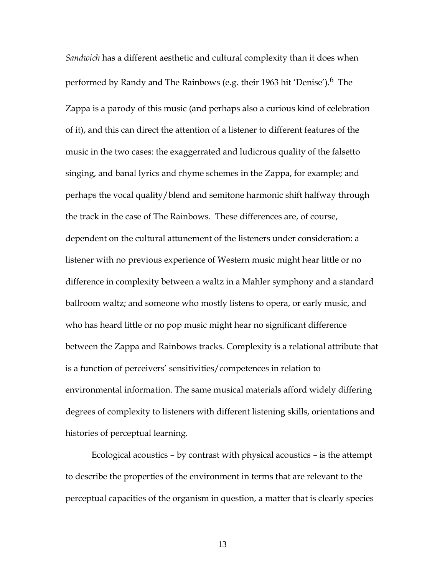*Sandwich* has a different aesthetic and cultural complexity than it does when performed by Randy and The Rainbows (e.g. their 1963 hit 'Denise').<sup>6</sup> The Zappa is a parody of this music (and perhaps also a curious kind of celebration of it), and this can direct the attention of a listener to different features of the music in the two cases: the exaggerrated and ludicrous quality of the falsetto singing, and banal lyrics and rhyme schemes in the Zappa, for example; and perhaps the vocal quality/blend and semitone harmonic shift halfway through the track in the case of The Rainbows. These differences are, of course, dependent on the cultural attunement of the listeners under consideration: a listener with no previous experience of Western music might hear little or no difference in complexity between a waltz in a Mahler symphony and a standard ballroom waltz; and someone who mostly listens to opera, or early music, and who has heard little or no pop music might hear no significant difference between the Zappa and Rainbows tracks. Complexity is a relational attribute that is a function of perceivers' sensitivities/competences in relation to environmental information. The same musical materials afford widely differing degrees of complexity to listeners with different listening skills, orientations and histories of perceptual learning.

Ecological acoustics – by contrast with physical acoustics – is the attempt to describe the properties of the environment in terms that are relevant to the perceptual capacities of the organism in question, a matter that is clearly species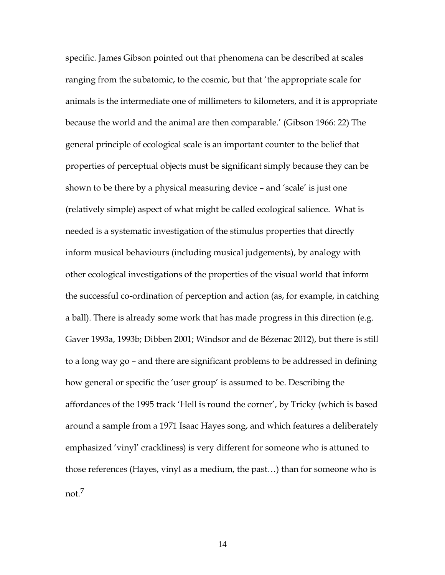specific. James Gibson pointed out that phenomena can be described at scales ranging from the subatomic, to the cosmic, but that 'the appropriate scale for animals is the intermediate one of millimeters to kilometers, and it is appropriate because the world and the animal are then comparable.' (Gibson 1966: 22) The general principle of ecological scale is an important counter to the belief that properties of perceptual objects must be significant simply because they can be shown to be there by a physical measuring device – and 'scale' is just one (relatively simple) aspect of what might be called ecological salience. What is needed is a systematic investigation of the stimulus properties that directly inform musical behaviours (including musical judgements), by analogy with other ecological investigations of the properties of the visual world that inform the successful co-ordination of perception and action (as, for example, in catching a ball). There is already some work that has made progress in this direction (e.g. Gaver 1993a, 1993b; Dibben 2001; Windsor and de Bézenac 2012), but there is still to a long way go – and there are significant problems to be addressed in defining how general or specific the 'user group' is assumed to be. Describing the affordances of the 1995 track 'Hell is round the corner', by Tricky (which is based around a sample from a 1971 Isaac Hayes song, and which features a deliberately emphasized 'vinyl' crackliness) is very different for someone who is attuned to those references (Hayes, vinyl as a medium, the past…) than for someone who is not.7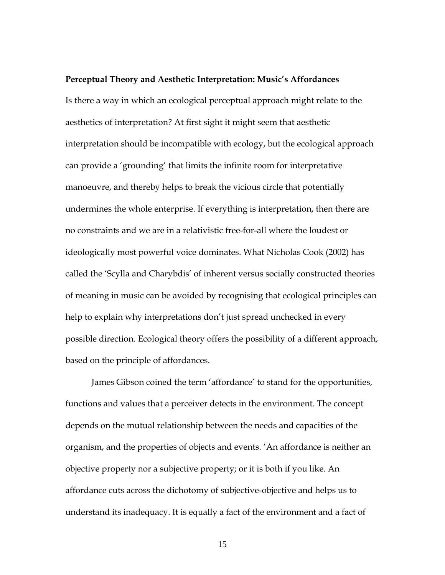#### **Perceptual Theory and Aesthetic Interpretation: Music's Affordances**

Is there a way in which an ecological perceptual approach might relate to the aesthetics of interpretation? At first sight it might seem that aesthetic interpretation should be incompatible with ecology, but the ecological approach can provide a 'grounding' that limits the infinite room for interpretative manoeuvre, and thereby helps to break the vicious circle that potentially undermines the whole enterprise. If everything is interpretation, then there are no constraints and we are in a relativistic free-for-all where the loudest or ideologically most powerful voice dominates. What Nicholas Cook (2002) has called the 'Scylla and Charybdis' of inherent versus socially constructed theories of meaning in music can be avoided by recognising that ecological principles can help to explain why interpretations don't just spread unchecked in every possible direction. Ecological theory offers the possibility of a different approach, based on the principle of affordances.

James Gibson coined the term 'affordance' to stand for the opportunities, functions and values that a perceiver detects in the environment. The concept depends on the mutual relationship between the needs and capacities of the organism, and the properties of objects and events. 'An affordance is neither an objective property nor a subjective property; or it is both if you like. An affordance cuts across the dichotomy of subjective-objective and helps us to understand its inadequacy. It is equally a fact of the environment and a fact of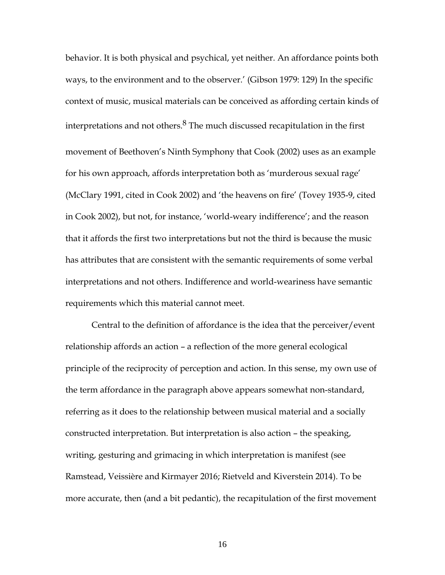behavior. It is both physical and psychical, yet neither. An affordance points both ways, to the environment and to the observer.' (Gibson 1979: 129) In the specific context of music, musical materials can be conceived as affording certain kinds of interpretations and not others. $8$  The much discussed recapitulation in the first movement of Beethoven's Ninth Symphony that Cook (2002) uses as an example for his own approach, affords interpretation both as 'murderous sexual rage' (McClary 1991, cited in Cook 2002) and 'the heavens on fire' (Tovey 1935-9, cited in Cook 2002), but not, for instance, 'world-weary indifference'; and the reason that it affords the first two interpretations but not the third is because the music has attributes that are consistent with the semantic requirements of some verbal interpretations and not others. Indifference and world-weariness have semantic requirements which this material cannot meet.

Central to the definition of affordance is the idea that the perceiver/event relationship affords an action – a reflection of the more general ecological principle of the reciprocity of perception and action. In this sense, my own use of the term affordance in the paragraph above appears somewhat non-standard, referring as it does to the relationship between musical material and a socially constructed interpretation. But interpretation is also action – the speaking, writing, gesturing and grimacing in which interpretation is manifest (see Ramstead, Veissière and Kirmayer 2016; Rietveld and Kiverstein 2014). To be more accurate, then (and a bit pedantic), the recapitulation of the first movement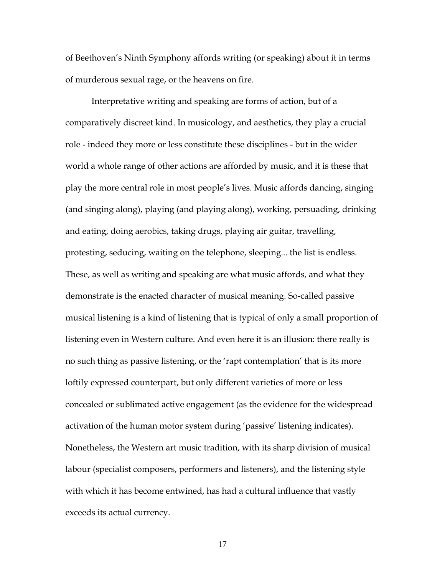of Beethoven's Ninth Symphony affords writing (or speaking) about it in terms of murderous sexual rage, or the heavens on fire.

Interpretative writing and speaking are forms of action, but of a comparatively discreet kind. In musicology, and aesthetics, they play a crucial role - indeed they more or less constitute these disciplines - but in the wider world a whole range of other actions are afforded by music, and it is these that play the more central role in most people's lives. Music affords dancing, singing (and singing along), playing (and playing along), working, persuading, drinking and eating, doing aerobics, taking drugs, playing air guitar, travelling, protesting, seducing, waiting on the telephone, sleeping... the list is endless. These, as well as writing and speaking are what music affords, and what they demonstrate is the enacted character of musical meaning. So-called passive musical listening is a kind of listening that is typical of only a small proportion of listening even in Western culture. And even here it is an illusion: there really is no such thing as passive listening, or the 'rapt contemplation' that is its more loftily expressed counterpart, but only different varieties of more or less concealed or sublimated active engagement (as the evidence for the widespread activation of the human motor system during 'passive' listening indicates). Nonetheless, the Western art music tradition, with its sharp division of musical labour (specialist composers, performers and listeners), and the listening style with which it has become entwined, has had a cultural influence that vastly exceeds its actual currency.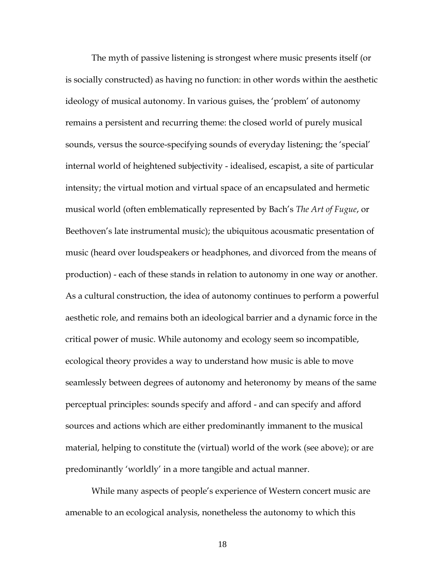The myth of passive listening is strongest where music presents itself (or is socially constructed) as having no function: in other words within the aesthetic ideology of musical autonomy. In various guises, the 'problem' of autonomy remains a persistent and recurring theme: the closed world of purely musical sounds, versus the source-specifying sounds of everyday listening; the 'special' internal world of heightened subjectivity - idealised, escapist, a site of particular intensity; the virtual motion and virtual space of an encapsulated and hermetic musical world (often emblematically represented by Bach's *The Art of Fugue*, or Beethoven's late instrumental music); the ubiquitous acousmatic presentation of music (heard over loudspeakers or headphones, and divorced from the means of production) - each of these stands in relation to autonomy in one way or another. As a cultural construction, the idea of autonomy continues to perform a powerful aesthetic role, and remains both an ideological barrier and a dynamic force in the critical power of music. While autonomy and ecology seem so incompatible, ecological theory provides a way to understand how music is able to move seamlessly between degrees of autonomy and heteronomy by means of the same perceptual principles: sounds specify and afford - and can specify and afford sources and actions which are either predominantly immanent to the musical material, helping to constitute the (virtual) world of the work (see above); or are predominantly 'worldly' in a more tangible and actual manner.

While many aspects of people's experience of Western concert music are amenable to an ecological analysis, nonetheless the autonomy to which this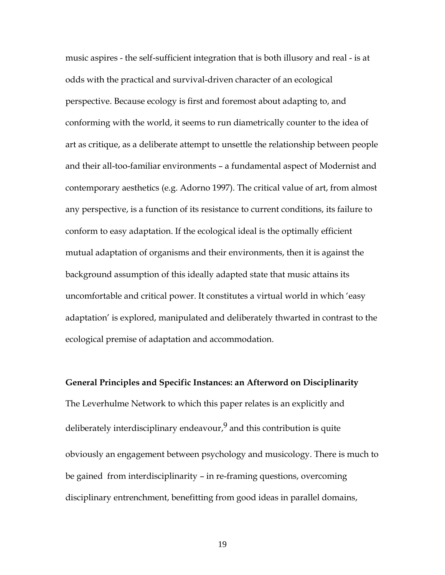music aspires - the self-sufficient integration that is both illusory and real - is at odds with the practical and survival-driven character of an ecological perspective. Because ecology is first and foremost about adapting to, and conforming with the world, it seems to run diametrically counter to the idea of art as critique, as a deliberate attempt to unsettle the relationship between people and their all-too-familiar environments – a fundamental aspect of Modernist and contemporary aesthetics (e.g. Adorno 1997). The critical value of art, from almost any perspective, is a function of its resistance to current conditions, its failure to conform to easy adaptation. If the ecological ideal is the optimally efficient mutual adaptation of organisms and their environments, then it is against the background assumption of this ideally adapted state that music attains its uncomfortable and critical power. It constitutes a virtual world in which 'easy adaptation' is explored, manipulated and deliberately thwarted in contrast to the ecological premise of adaptation and accommodation.

## **General Principles and Specific Instances: an Afterword on Disciplinarity** The Leverhulme Network to which this paper relates is an explicitly and deliberately interdisciplinary endeavour, $9$  and this contribution is quite obviously an engagement between psychology and musicology. There is much to be gained from interdisciplinarity – in re-framing questions, overcoming disciplinary entrenchment, benefitting from good ideas in parallel domains,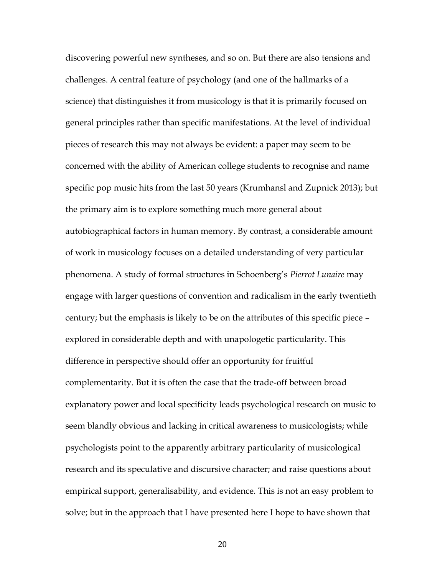discovering powerful new syntheses, and so on. But there are also tensions and challenges. A central feature of psychology (and one of the hallmarks of a science) that distinguishes it from musicology is that it is primarily focused on general principles rather than specific manifestations. At the level of individual pieces of research this may not always be evident: a paper may seem to be concerned with the ability of American college students to recognise and name specific pop music hits from the last 50 years (Krumhansl and Zupnick 2013); but the primary aim is to explore something much more general about autobiographical factors in human memory. By contrast, a considerable amount of work in musicology focuses on a detailed understanding of very particular phenomena. A study of formal structures in Schoenberg's *Pierrot Lunaire* may engage with larger questions of convention and radicalism in the early twentieth century; but the emphasis is likely to be on the attributes of this specific piece – explored in considerable depth and with unapologetic particularity. This difference in perspective should offer an opportunity for fruitful complementarity. But it is often the case that the trade-off between broad explanatory power and local specificity leads psychological research on music to seem blandly obvious and lacking in critical awareness to musicologists; while psychologists point to the apparently arbitrary particularity of musicological research and its speculative and discursive character; and raise questions about empirical support, generalisability, and evidence. This is not an easy problem to solve; but in the approach that I have presented here I hope to have shown that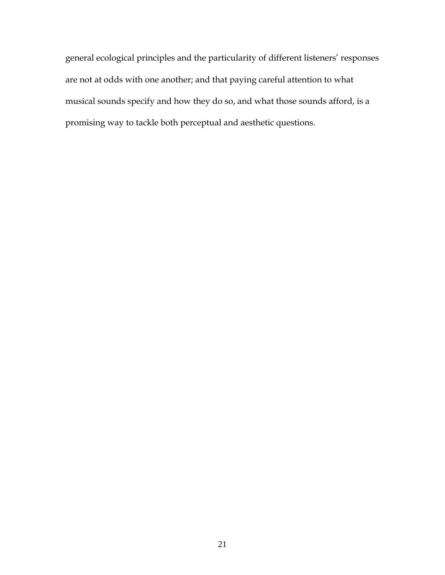general ecological principles and the particularity of different listeners' responses are not at odds with one another; and that paying careful attention to what musical sounds specify and how they do so, and what those sounds afford, is a promising way to tackle both perceptual and aesthetic questions.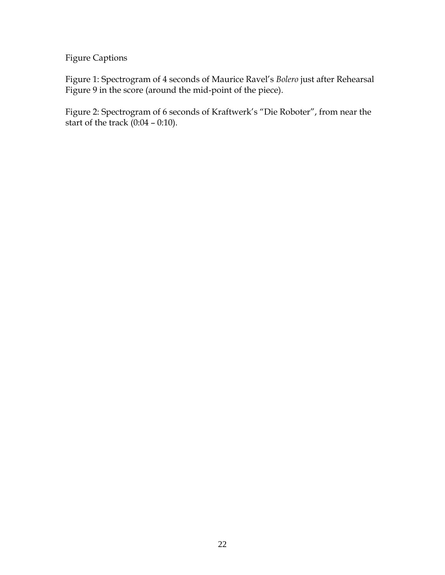Figure Captions

Figure 1: Spectrogram of 4 seconds of Maurice Ravel's *Bolero* just after Rehearsal Figure 9 in the score (around the mid-point of the piece).

Figure 2: Spectrogram of 6 seconds of Kraftwerk's "Die Roboter", from near the start of the track (0:04 – 0:10).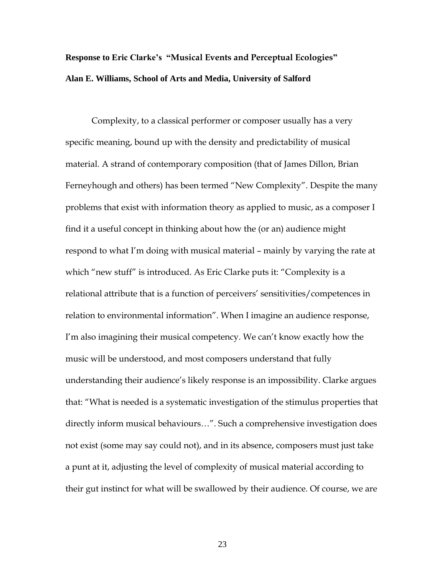### **Response to Eric Clarke's "Musical Events and Perceptual Ecologies" Alan E. Williams, School of Arts and Media, University of Salford**

Complexity, to a classical performer or composer usually has a very specific meaning, bound up with the density and predictability of musical material. A strand of contemporary composition (that of James Dillon, Brian Ferneyhough and others) has been termed "New Complexity". Despite the many problems that exist with information theory as applied to music, as a composer I find it a useful concept in thinking about how the (or an) audience might respond to what I'm doing with musical material – mainly by varying the rate at which "new stuff" is introduced. As Eric Clarke puts it: "Complexity is a relational attribute that is a function of perceivers' sensitivities/competences in relation to environmental information". When I imagine an audience response, I'm also imagining their musical competency. We can't know exactly how the music will be understood, and most composers understand that fully understanding their audience's likely response is an impossibility. Clarke argues that: "What is needed is a systematic investigation of the stimulus properties that directly inform musical behaviours…". Such a comprehensive investigation does not exist (some may say could not), and in its absence, composers must just take a punt at it, adjusting the level of complexity of musical material according to their gut instinct for what will be swallowed by their audience. Of course, we are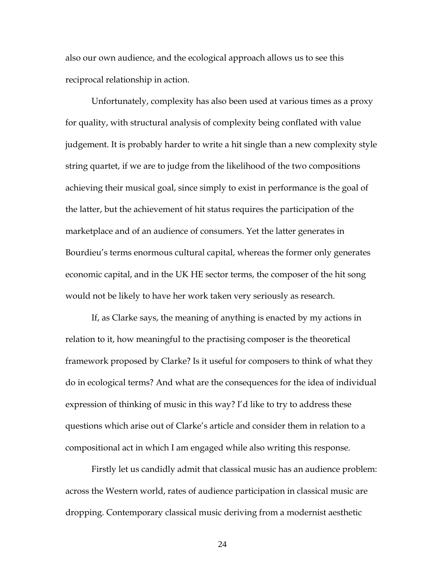also our own audience, and the ecological approach allows us to see this reciprocal relationship in action.

Unfortunately, complexity has also been used at various times as a proxy for quality, with structural analysis of complexity being conflated with value judgement. It is probably harder to write a hit single than a new complexity style string quartet, if we are to judge from the likelihood of the two compositions achieving their musical goal, since simply to exist in performance is the goal of the latter, but the achievement of hit status requires the participation of the marketplace and of an audience of consumers. Yet the latter generates in Bourdieu's terms enormous cultural capital, whereas the former only generates economic capital, and in the UK HE sector terms, the composer of the hit song would not be likely to have her work taken very seriously as research.

If, as Clarke says, the meaning of anything is enacted by my actions in relation to it, how meaningful to the practising composer is the theoretical framework proposed by Clarke? Is it useful for composers to think of what they do in ecological terms? And what are the consequences for the idea of individual expression of thinking of music in this way? I'd like to try to address these questions which arise out of Clarke's article and consider them in relation to a compositional act in which I am engaged while also writing this response.

Firstly let us candidly admit that classical music has an audience problem: across the Western world, rates of audience participation in classical music are dropping. Contemporary classical music deriving from a modernist aesthetic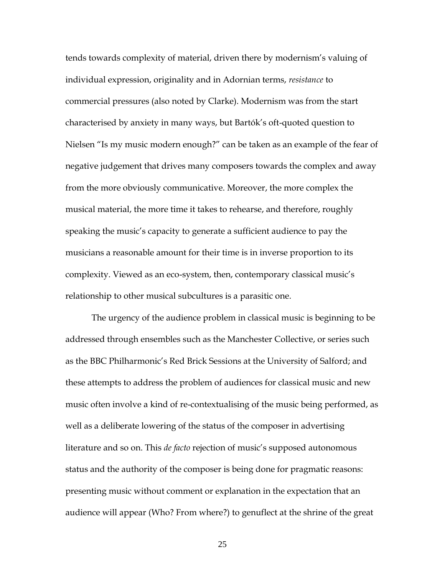tends towards complexity of material, driven there by modernism's valuing of individual expression, originality and in Adornian terms, *resistance* to commercial pressures (also noted by Clarke). Modernism was from the start characterised by anxiety in many ways, but Bartók's oft-quoted question to Nielsen "Is my music modern enough?" can be taken as an example of the fear of negative judgement that drives many composers towards the complex and away from the more obviously communicative. Moreover, the more complex the musical material, the more time it takes to rehearse, and therefore, roughly speaking the music's capacity to generate a sufficient audience to pay the musicians a reasonable amount for their time is in inverse proportion to its complexity. Viewed as an eco-system, then, contemporary classical music's relationship to other musical subcultures is a parasitic one.

The urgency of the audience problem in classical music is beginning to be addressed through ensembles such as the Manchester Collective, or series such as the BBC Philharmonic's Red Brick Sessions at the University of Salford; and these attempts to address the problem of audiences for classical music and new music often involve a kind of re-contextualising of the music being performed, as well as a deliberate lowering of the status of the composer in advertising literature and so on. This *de facto* rejection of music's supposed autonomous status and the authority of the composer is being done for pragmatic reasons: presenting music without comment or explanation in the expectation that an audience will appear (Who? From where?) to genuflect at the shrine of the great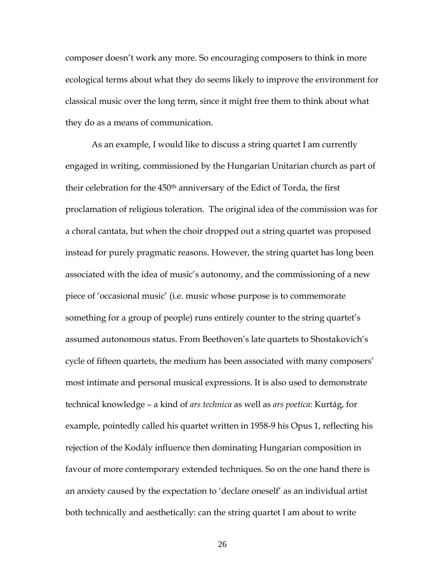composer doesn't work any more. So encouraging composers to think in more ecological terms about what they do seems likely to improve the environment for classical music over the long term, since it might free them to think about what they do as a means of communication.

As an example, I would like to discuss a string quartet I am currently engaged in writing, commissioned by the Hungarian Unitarian church as part of their celebration for the 450th anniversary of the Edict of Torda, the first proclamation of religious toleration. The original idea of the commission was for a choral cantata, but when the choir dropped out a string quartet was proposed instead for purely pragmatic reasons. However, the string quartet has long been associated with the idea of music's autonomy, and the commissioning of a new piece of 'occasional music' (i.e. music whose purpose is to commemorate something for a group of people) runs entirely counter to the string quartet's assumed autonomous status. From Beethoven's late quartets to Shostakovich's cycle of fifteen quartets, the medium has been associated with many composers' most intimate and personal musical expressions. It is also used to demonstrate technical knowledge – a kind of *ars technica* as well as *ars poetica*: Kurtág, for example, pointedly called his quartet written in 1958-9 his Opus 1, reflecting his rejection of the Kodály influence then dominating Hungarian composition in favour of more contemporary extended techniques. So on the one hand there is an anxiety caused by the expectation to 'declare oneself' as an individual artist both technically and aesthetically: can the string quartet I am about to write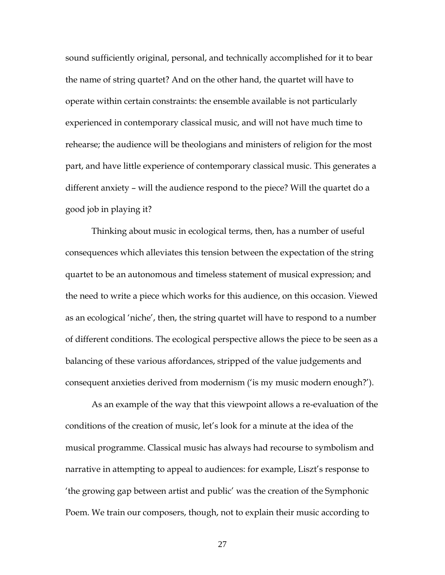sound sufficiently original, personal, and technically accomplished for it to bear the name of string quartet? And on the other hand, the quartet will have to operate within certain constraints: the ensemble available is not particularly experienced in contemporary classical music, and will not have much time to rehearse; the audience will be theologians and ministers of religion for the most part, and have little experience of contemporary classical music. This generates a different anxiety – will the audience respond to the piece? Will the quartet do a good job in playing it?

Thinking about music in ecological terms, then, has a number of useful consequences which alleviates this tension between the expectation of the string quartet to be an autonomous and timeless statement of musical expression; and the need to write a piece which works for this audience, on this occasion. Viewed as an ecological 'niche', then, the string quartet will have to respond to a number of different conditions. The ecological perspective allows the piece to be seen as a balancing of these various affordances, stripped of the value judgements and consequent anxieties derived from modernism ('is my music modern enough?').

As an example of the way that this viewpoint allows a re-evaluation of the conditions of the creation of music, let's look for a minute at the idea of the musical programme. Classical music has always had recourse to symbolism and narrative in attempting to appeal to audiences: for example, Liszt's response to 'the growing gap between artist and public' was the creation of the Symphonic Poem. We train our composers, though, not to explain their music according to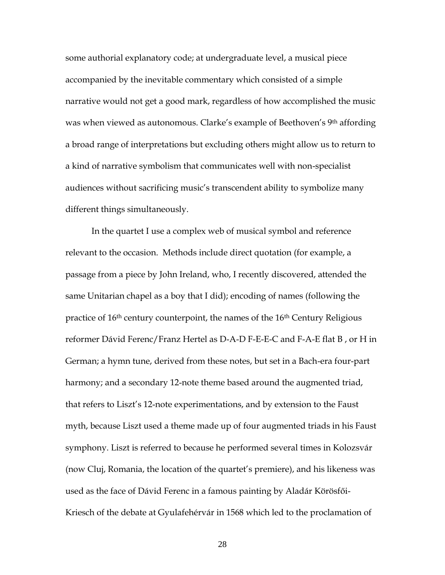some authorial explanatory code; at undergraduate level, a musical piece accompanied by the inevitable commentary which consisted of a simple narrative would not get a good mark, regardless of how accomplished the music was when viewed as autonomous. Clarke's example of Beethoven's 9<sup>th</sup> affording a broad range of interpretations but excluding others might allow us to return to a kind of narrative symbolism that communicates well with non-specialist audiences without sacrificing music's transcendent ability to symbolize many different things simultaneously.

In the quartet I use a complex web of musical symbol and reference relevant to the occasion. Methods include direct quotation (for example, a passage from a piece by John Ireland, who, I recently discovered, attended the same Unitarian chapel as a boy that I did); encoding of names (following the practice of  $16<sup>th</sup>$  century counterpoint, the names of the  $16<sup>th</sup>$  Century Religious reformer Dávid Ferenc/Franz Hertel as D-A-D F-E-E-C and F-A-E flat B , or H in German; a hymn tune, derived from these notes, but set in a Bach-era four-part harmony; and a secondary 12-note theme based around the augmented triad, that refers to Liszt's 12-note experimentations, and by extension to the Faust myth, because Liszt used a theme made up of four augmented triads in his Faust symphony. Liszt is referred to because he performed several times in Kolozsvár (now Cluj, Romania, the location of the quartet's premiere), and his likeness was used as the face of Dávid Ferenc in a famous painting by Aladár Körösfői-Kriesch of the debate at Gyulafehérvár in 1568 which led to the proclamation of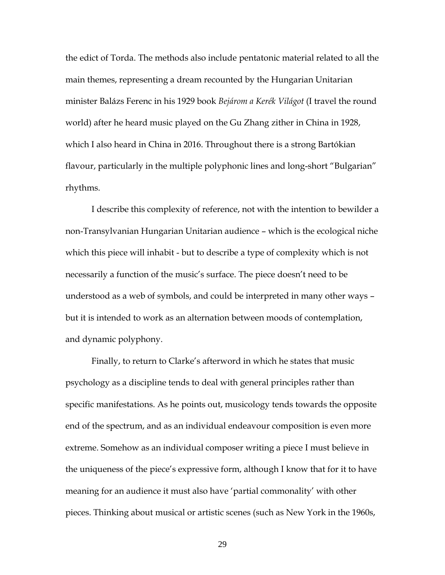the edict of Torda. The methods also include pentatonic material related to all the main themes, representing a dream recounted by the Hungarian Unitarian minister Balázs Ferenc in his 1929 book *Bejárom a Kerék Világot* (I travel the round world) after he heard music played on the Gu Zhang zither in China in 1928, which I also heard in China in 2016. Throughout there is a strong Bartókian flavour, particularly in the multiple polyphonic lines and long-short "Bulgarian" rhythms.

I describe this complexity of reference, not with the intention to bewilder a non-Transylvanian Hungarian Unitarian audience – which is the ecological niche which this piece will inhabit - but to describe a type of complexity which is not necessarily a function of the music's surface. The piece doesn't need to be understood as a web of symbols, and could be interpreted in many other ways – but it is intended to work as an alternation between moods of contemplation, and dynamic polyphony.

Finally, to return to Clarke's afterword in which he states that music psychology as a discipline tends to deal with general principles rather than specific manifestations. As he points out, musicology tends towards the opposite end of the spectrum, and as an individual endeavour composition is even more extreme. Somehow as an individual composer writing a piece I must believe in the uniqueness of the piece's expressive form, although I know that for it to have meaning for an audience it must also have 'partial commonality' with other pieces. Thinking about musical or artistic scenes (such as New York in the 1960s,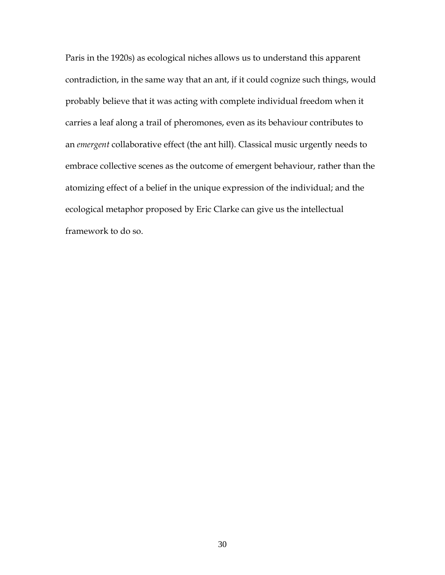Paris in the 1920s) as ecological niches allows us to understand this apparent contradiction, in the same way that an ant, if it could cognize such things, would probably believe that it was acting with complete individual freedom when it carries a leaf along a trail of pheromones, even as its behaviour contributes to an *emergent* collaborative effect (the ant hill). Classical music urgently needs to embrace collective scenes as the outcome of emergent behaviour, rather than the atomizing effect of a belief in the unique expression of the individual; and the ecological metaphor proposed by Eric Clarke can give us the intellectual framework to do so.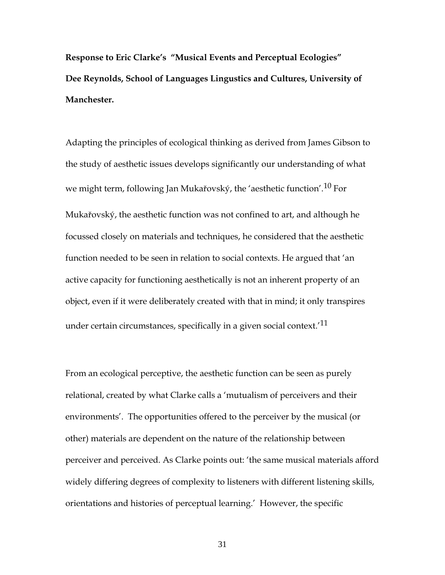**Response to Eric Clarke's "Musical Events and Perceptual Ecologies" Dee Reynolds, School of Languages Lingustics and Cultures, University of Manchester.**

Adapting the principles of ecological thinking as derived from James Gibson to the study of aesthetic issues develops significantly our understanding of what we might term, following Jan Mukařovský, the 'aesthetic function'.10 For Mukařovský, the aesthetic function was not confined to art, and although he focussed closely on materials and techniques, he considered that the aesthetic function needed to be seen in relation to social contexts. He argued that 'an active capacity for functioning aesthetically is not an inherent property of an object, even if it were deliberately created with that in mind; it only transpires under certain circumstances, specifically in a given social context.<sup>'11</sup>

From an ecological perceptive, the aesthetic function can be seen as purely relational, created by what Clarke calls a 'mutualism of perceivers and their environments'. The opportunities offered to the perceiver by the musical (or other) materials are dependent on the nature of the relationship between perceiver and perceived. As Clarke points out: 'the same musical materials afford widely differing degrees of complexity to listeners with different listening skills, orientations and histories of perceptual learning.' However, the specific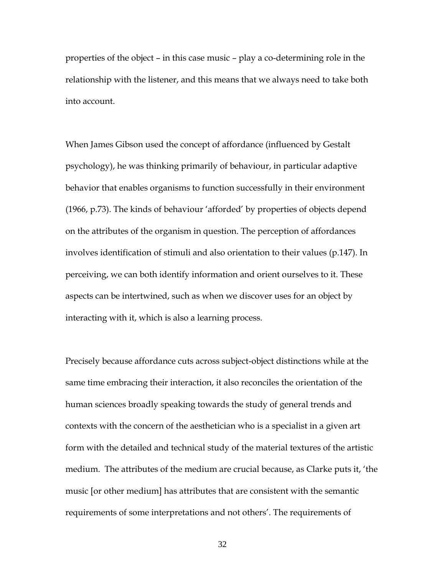properties of the object – in this case music – play a co-determining role in the relationship with the listener, and this means that we always need to take both into account.

When James Gibson used the concept of affordance (influenced by Gestalt psychology), he was thinking primarily of behaviour, in particular adaptive behavior that enables organisms to function successfully in their environment (1966, p.73). The kinds of behaviour 'afforded' by properties of objects depend on the attributes of the organism in question. The perception of affordances involves identification of stimuli and also orientation to their values (p.147). In perceiving, we can both identify information and orient ourselves to it. These aspects can be intertwined, such as when we discover uses for an object by interacting with it, which is also a learning process.

Precisely because affordance cuts across subject-object distinctions while at the same time embracing their interaction, it also reconciles the orientation of the human sciences broadly speaking towards the study of general trends and contexts with the concern of the aesthetician who is a specialist in a given art form with the detailed and technical study of the material textures of the artistic medium. The attributes of the medium are crucial because, as Clarke puts it, 'the music [or other medium] has attributes that are consistent with the semantic requirements of some interpretations and not others'. The requirements of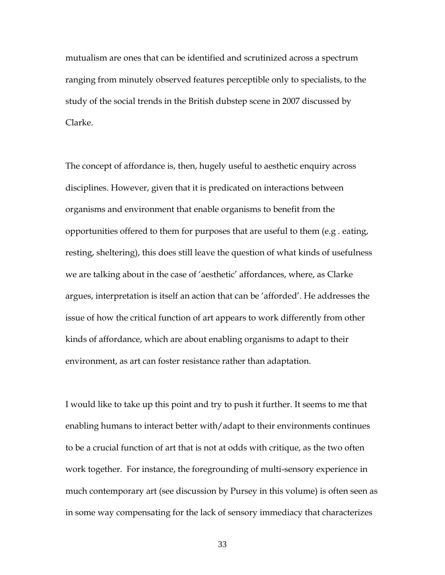mutualism are ones that can be identified and scrutinized across a spectrum ranging from minutely observed features perceptible only to specialists, to the study of the social trends in the British dubstep scene in 2007 discussed by Clarke.

The concept of affordance is, then, hugely useful to aesthetic enquiry across disciplines. However, given that it is predicated on interactions between organisms and environment that enable organisms to benefit from the opportunities offered to them for purposes that are useful to them (e.g . eating, resting, sheltering), this does still leave the question of what kinds of usefulness we are talking about in the case of 'aesthetic' affordances, where, as Clarke argues, interpretation is itself an action that can be 'afforded'. He addresses the issue of how the critical function of art appears to work differently from other kinds of affordance, which are about enabling organisms to adapt to their environment, as art can foster resistance rather than adaptation.

I would like to take up this point and try to push it further. It seems to me that enabling humans to interact better with/adapt to their environments continues to be a crucial function of art that is not at odds with critique, as the two often work together. For instance, the foregrounding of multi-sensory experience in much contemporary art (see discussion by Pursey in this volume) is often seen as in some way compensating for the lack of sensory immediacy that characterizes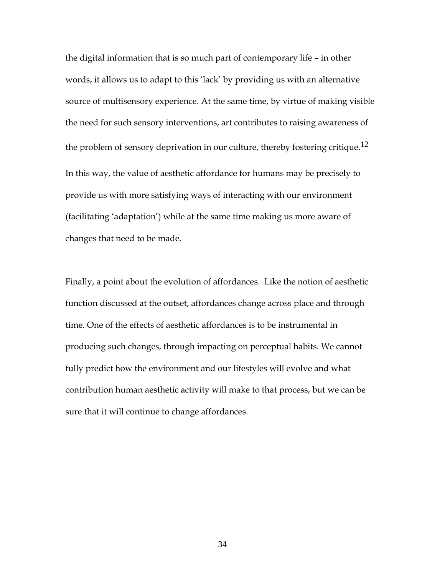the digital information that is so much part of contemporary life – in other words, it allows us to adapt to this 'lack' by providing us with an alternative source of multisensory experience. At the same time, by virtue of making visible the need for such sensory interventions, art contributes to raising awareness of the problem of sensory deprivation in our culture, thereby fostering critique.<sup>12</sup> In this way, the value of aesthetic affordance for humans may be precisely to provide us with more satisfying ways of interacting with our environment (facilitating 'adaptation') while at the same time making us more aware of changes that need to be made.

Finally, a point about the evolution of affordances. Like the notion of aesthetic function discussed at the outset, affordances change across place and through time. One of the effects of aesthetic affordances is to be instrumental in producing such changes, through impacting on perceptual habits. We cannot fully predict how the environment and our lifestyles will evolve and what contribution human aesthetic activity will make to that process, but we can be sure that it will continue to change affordances.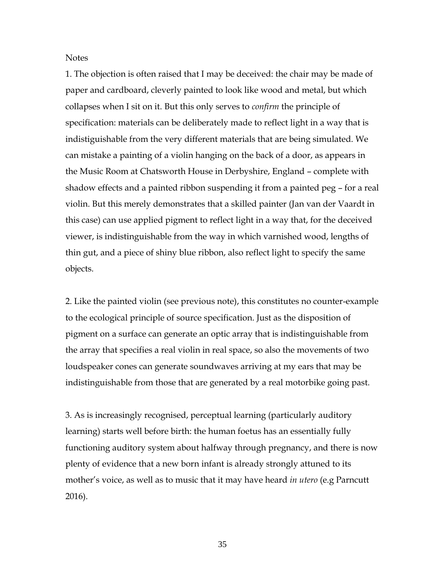**Notes** 

1. The objection is often raised that I may be deceived: the chair may be made of paper and cardboard, cleverly painted to look like wood and metal, but which collapses when I sit on it. But this only serves to *confirm* the principle of specification: materials can be deliberately made to reflect light in a way that is indistiguishable from the very different materials that are being simulated. We can mistake a painting of a violin hanging on the back of a door, as appears in the Music Room at Chatsworth House in Derbyshire, England – complete with shadow effects and a painted ribbon suspending it from a painted peg – for a real violin. But this merely demonstrates that a skilled painter (Jan van der Vaardt in this case) can use applied pigment to reflect light in a way that, for the deceived viewer, is indistinguishable from the way in which varnished wood, lengths of thin gut, and a piece of shiny blue ribbon, also reflect light to specify the same objects.

2. Like the painted violin (see previous note), this constitutes no counter-example to the ecological principle of source specification. Just as the disposition of pigment on a surface can generate an optic array that is indistinguishable from the array that specifies a real violin in real space, so also the movements of two loudspeaker cones can generate soundwaves arriving at my ears that may be indistinguishable from those that are generated by a real motorbike going past.

3. As is increasingly recognised, perceptual learning (particularly auditory learning) starts well before birth: the human foetus has an essentially fully functioning auditory system about halfway through pregnancy, and there is now plenty of evidence that a new born infant is already strongly attuned to its mother's voice, as well as to music that it may have heard *in utero* (e.g Parncutt 2016).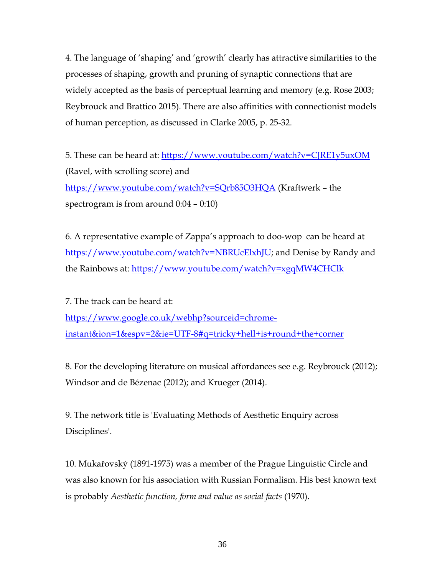4. The language of 'shaping' and 'growth' clearly has attractive similarities to the processes of shaping, growth and pruning of synaptic connections that are widely accepted as the basis of perceptual learning and memory (e.g. Rose 2003; Reybrouck and Brattico 2015). There are also affinities with connectionist models of human perception, as discussed in Clarke 2005, p. 25-32.

5. These can be heard at:<https://www.youtube.com/watch?v=CJRE1y5uxOM> (Ravel, with scrolling score) and <https://www.youtube.com/watch?v=SQrb85O3HQA> (Kraftwerk – the spectrogram is from around 0:04 – 0:10)

6. A representative example of Zappa's approach to doo-wop can be heard at [https://www.youtube.com/watch?v=NBRUcElxhJU;](https://www.youtube.com/watch?v=NBRUcElxhJU) and Denise by Randy and the Rainbows at:<https://www.youtube.com/watch?v=xgqMW4CHClk>

7. The track can be heard at: [https://www.google.co.uk/webhp?sourceid=chrome](https://www.google.co.uk/webhp?sourceid=chrome-instant&ion=1&espv=2&ie=UTF-8#q=tricky+hell+is+round+the+corner)[instant&ion=1&espv=2&ie=UTF-8#q=tricky+hell+is+round+the+corner](https://www.google.co.uk/webhp?sourceid=chrome-instant&ion=1&espv=2&ie=UTF-8#q=tricky+hell+is+round+the+corner)

8. For the developing literature on musical affordances see e.g. Reybrouck (2012); Windsor and de Bézenac (2012); and Krueger (2014).

9. The network title is 'Evaluating Methods of Aesthetic Enquiry across Disciplines'.

10. Mukařovský (1891-1975) was a member of the Prague Linguistic Circle and was also known for his association with Russian Formalism. His best known text is probably *Aesthetic function, form and value as social facts* (1970).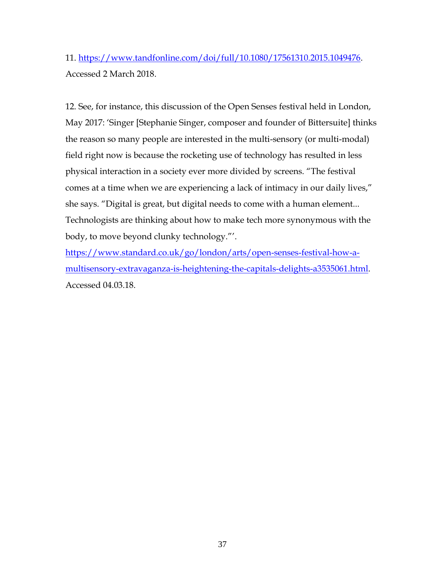11. [https://www.tandfonline.com/doi/full/10.1080/17561310.2015.1049476.](https://www.tandfonline.com/doi/full/10.1080/17561310.2015.1049476) Accessed 2 March 2018.

12. See, for instance, this discussion of the Open Senses festival held in London, May 2017: 'Singer [Stephanie Singer, composer and founder of Bittersuite] thinks the reason so many people are interested in the multi-sensory (or multi-modal) field right now is because the rocketing use of technology has resulted in less physical interaction in a society ever more divided by screens. "The festival comes at a time when we are experiencing a lack of intimacy in our daily lives," she says. "Digital is great, but digital needs to come with a human element... Technologists are thinking about how to make tech more synonymous with the body, to move beyond clunky technology."'.

[https://www.standard.co.uk/go/london/arts/open-senses-festival-how-a](https://www.standard.co.uk/go/london/arts/open-senses-festival-how-a-multisensory-extravaganza-is-heightening-the-capitals-delights-a3535061.html)[multisensory-extravaganza-is-heightening-the-capitals-delights-a3535061.html.](https://www.standard.co.uk/go/london/arts/open-senses-festival-how-a-multisensory-extravaganza-is-heightening-the-capitals-delights-a3535061.html) Accessed 04.03.18.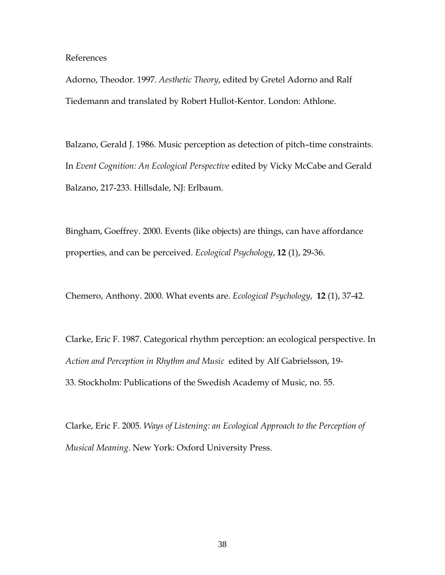#### References

Adorno, Theodor. 1997. *Aesthetic Theory*, edited by Gretel Adorno and Ralf Tiedemann and translated by Robert Hullot-Kentor. London: Athlone.

Balzano, Gerald J. 1986. Music perception as detection of pitch–time constraints. In *Event Cognition: An Ecological Perspective* edited by Vicky McCabe and Gerald Balzano, 217-233. Hillsdale, NJ: Erlbaum.

Bingham, Goeffrey. 2000. Events (like objects) are things, can have affordance properties, and can be perceived. *Ecological Psychology*, **12** (1), 29-36.

Chemero, Anthony. 2000. What events are. *Ecological Psychology*, **12** (1), 37-42.

Clarke, Eric F. 1987. Categorical rhythm perception: an ecological perspective. In *Action and Perception in Rhythm and Music* edited by Alf Gabrielsson, 19- 33*.* Stockholm: Publications of the Swedish Academy of Music, no. 55.

Clarke, Eric F. 2005. *Ways of Listening: an Ecological Approach to the Perception of Musical Meaning*. New York: Oxford University Press.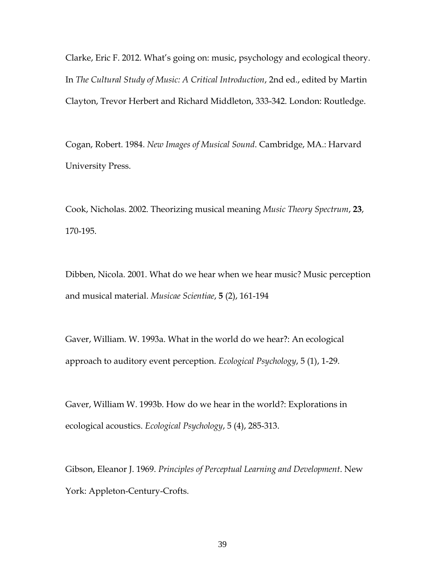Clarke, Eric F. 2012. What's going on: music, psychology and ecological theory. In *The Cultural Study of Music: A Critical Introduction*, 2nd ed., edited by Martin Clayton, Trevor Herbert and Richard Middleton, 333-342. London: Routledge.

Cogan, Robert. 1984. *New Images of Musical Sound*. Cambridge, MA.: Harvard University Press.

Cook, Nicholas. 2002. Theorizing musical meaning *Music Theory Spectrum*, **23**, 170-195.

Dibben, Nicola. 2001. What do we hear when we hear music? Music perception and musical material. *Musicae Scientiae*, **5** (2), 161-194

Gaver, William. W. 1993a. What in the world do we hear?: An ecological approach to auditory event perception. *Ecological Psychology*, 5 (1), 1-29.

Gaver, William W. 1993b. How do we hear in the world?: Explorations in ecological acoustics. *Ecological Psychology*, 5 (4), 285-313.

Gibson, Eleanor J. 1969. *Principles of Perceptual Learning and Development*. New York: Appleton-Century-Crofts.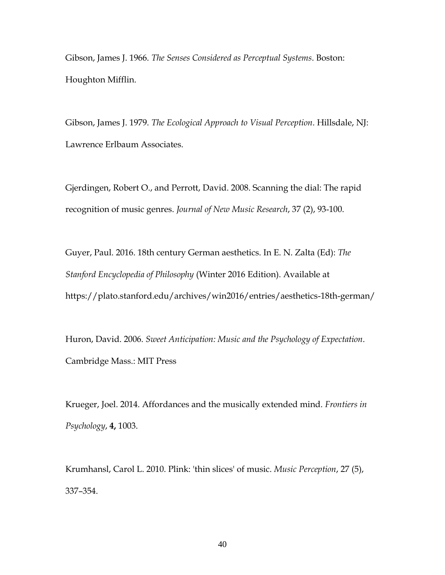Gibson, James J. 1966. *The Senses Considered as Perceptual Systems*. Boston: Houghton Mifflin.

Gibson, James J. 1979. *The Ecological Approach to Visual Perception*. Hillsdale, NJ: Lawrence Erlbaum Associates.

Gjerdingen, Robert O., and Perrott, David. 2008. Scanning the dial: The rapid recognition of music genres. *Journal of New Music Research*, 37 (2), 93-100.

Guyer, Paul. 2016. 18th century German aesthetics. In E. N. Zalta (Ed): *The Stanford Encyclopedia of Philosophy* (Winter 2016 Edition). Available at https://plato.stanford.edu/archives/win2016/entries/aesthetics-18th-german/

Huron, David. 2006. *Sweet Anticipation: Music and the Psychology of Expectation*. Cambridge Mass.: MIT Press

Krueger, Joel. 2014. Affordances and the musically extended mind. *Frontiers in Psychology*, **4,** 1003.

Krumhansl, Carol L. 2010. Plink: 'thin slices' of music. *Music Perception*, 27 (5), 337–354.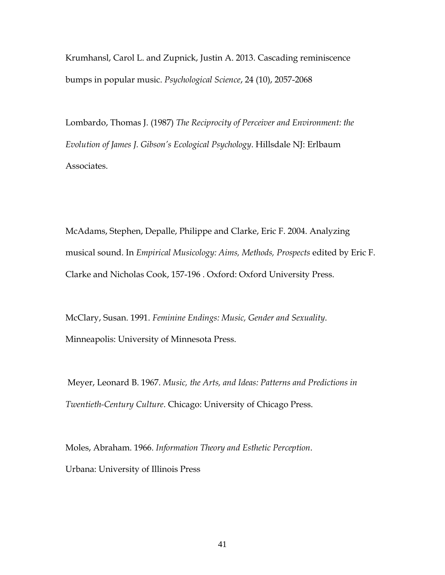Krumhansl, Carol L. and Zupnick, Justin A. 2013. Cascading reminiscence bumps in popular music. *Psychological Science*, 24 (10), 2057-2068

Lombardo, Thomas J. (1987) *The Reciprocity of Perceiver and Environment: the Evolution of James J. Gibson's Ecological Psychology*. Hillsdale NJ: Erlbaum Associates.

McAdams, Stephen, Depalle, Philippe and Clarke, Eric F. 2004. Analyzing musical sound. In *Empirical Musicology: Aims, Methods, Prospects* edited by Eric F. Clarke and Nicholas Cook, 157-196 . Oxford: Oxford University Press.

McClary, Susan. 1991. *Feminine Endings: Music, Gender and Sexuality*. Minneapolis: University of Minnesota Press.

Meyer, Leonard B. 1967. *Music, the Arts, and Ideas: Patterns and Predictions in Twentieth-Century Culture*. Chicago: University of Chicago Press.

Moles, Abraham. 1966. *Information Theory and Esthetic Perception*. Urbana: University of Illinois Press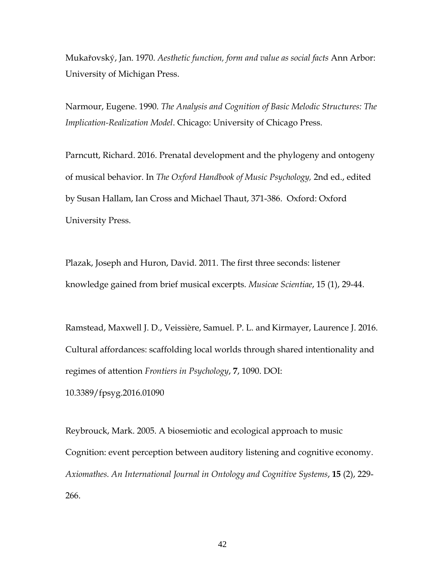Mukařovský, Jan. 1970. *Aesthetic function, form and value as social facts* Ann Arbor: University of Michigan Press.

Narmour, Eugene. 1990. *The Analysis and Cognition of Basic Melodic Structures: The Implication-Realization Model*. Chicago: University of Chicago Press.

Parncutt, Richard. 2016. Prenatal development and the phylogeny and ontogeny of musical behavior. In *The Oxford Handbook of Music Psychology,* 2nd ed., edited by Susan Hallam, Ian Cross and Michael Thaut, 371-386. Oxford: Oxford University Press.

Plazak, Joseph and Huron, David. 2011. The first three seconds: listener knowledge gained from brief musical excerpts. *Musicae Scientiae*, 15 (1), 29-44.

Ramstead, Maxwell J. D., Veissière, Samuel. P. L. and Kirmayer, Laurence J. 2016. Cultural affordances: scaffolding local worlds through shared intentionality and regimes of attention *Frontiers in Psychology*, **7**, 1090. DOI:

10.3389/fpsyg.2016.01090

Reybrouck, Mark. 2005. A biosemiotic and ecological approach to music Cognition: event perception between auditory listening and cognitive economy. *Axiomathes. An International Journal in Ontology and Cognitive Systems*, **15** (2), 229- 266.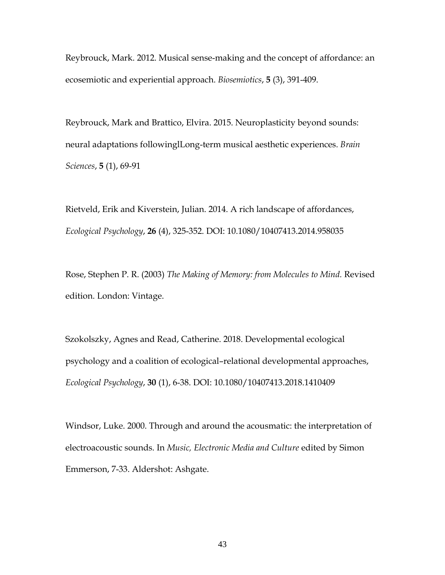Reybrouck, Mark. 2012. Musical sense-making and the concept of affordance: an ecosemiotic and experiential approach. *Biosemiotics*, **5** (3), 391-409.

Reybrouck, Mark and Brattico, Elvira. 2015. Neuroplasticity beyond sounds: neural adaptations followinglLong-term musical aesthetic experiences. *Brain Sciences*, **5** (1), 69-91

Rietveld, Erik and Kiverstein, Julian. 2014. A rich landscape of affordances, *Ecological Psychology*, **26** (4), 325-352. DOI: 10.1080/10407413.2014.958035

Rose, Stephen P. R. (2003) *The Making of Memory: from Molecules to Mind.* Revised edition. London: Vintage.

Szokolszky, Agnes and Read, Catherine. 2018. Developmental ecological psychology and a coalition of ecological–relational developmental approaches, *Ecological Psychology*, **30** (1), 6-38. DOI: 10.1080/10407413.2018.1410409

Windsor, Luke. 2000. Through and around the acousmatic: the interpretation of electroacoustic sounds. In *Music, Electronic Media and Culture* edited by Simon Emmerson, 7-33. Aldershot: Ashgate.